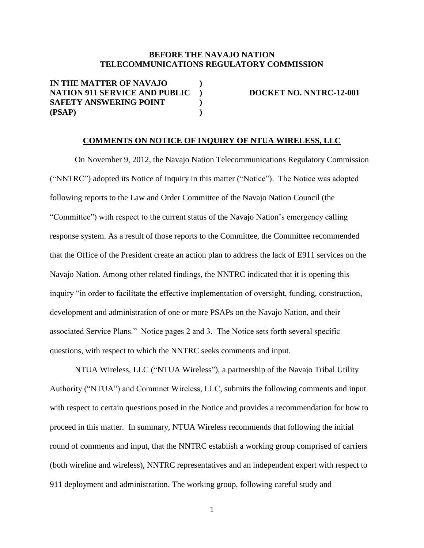## **BEFORE THE NAVAJO NATION TELECOMMUNICATIONS REGULATORY COMMISSION**

**IN THE MATTER OF NAVAJO ) NATION 911 SERVICE AND PUBLIC** ) DOCKET NO. NNTRC-12-001 **SAFETY ANSWERING POINT ) (PSAP) )**

## **COMMENTS ON NOTICE OF INQUIRY OF NTUA WIRELESS, LLC**

On November 9, 2012, the Navajo Nation Telecommunications Regulatory Commission ("NNTRC") adopted its Notice of Inquiry in this matter ("Notice"). The Notice was adopted following reports to the Law and Order Committee of the Navajo Nation Council (the "Committee") with respect to the current status of the Navajo Nation's emergency calling response system. As a result of those reports to the Committee, the Committee recommended that the Office of the President create an action plan to address the lack of E911 services on the Navajo Nation. Among other related findings, the NNTRC indicated that it is opening this inquiry "in order to facilitate the effective implementation of oversight, funding, construction, development and administration of one or more PSAPs on the Navajo Nation, and their associated Service Plans." Notice pages 2 and 3. The Notice sets forth several specific questions, with respect to which the NNTRC seeks comments and input.

NTUA Wireless, LLC ("NTUA Wireless"), a partnership of the Navajo Tribal Utility Authority ("NTUA") and Commnet Wireless, LLC, submits the following comments and input with respect to certain questions posed in the Notice and provides a recommendation for how to proceed in this matter. In summary, NTUA Wireless recommends that following the initial round of comments and input, that the NNTRC establish a working group comprised of carriers (both wireline and wireless), NNTRC representatives and an independent expert with respect to 911 deployment and administration. The working group, following careful study and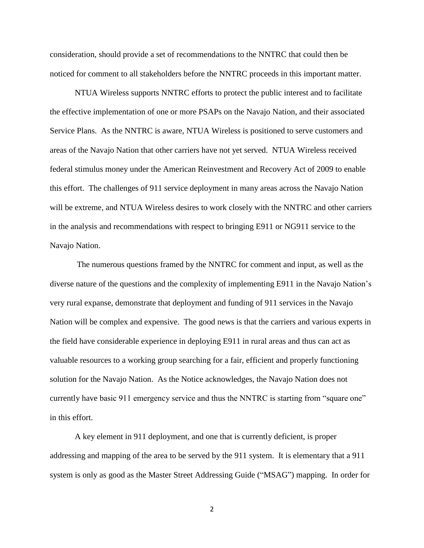consideration, should provide a set of recommendations to the NNTRC that could then be noticed for comment to all stakeholders before the NNTRC proceeds in this important matter.

NTUA Wireless supports NNTRC efforts to protect the public interest and to facilitate the effective implementation of one or more PSAPs on the Navajo Nation, and their associated Service Plans. As the NNTRC is aware, NTUA Wireless is positioned to serve customers and areas of the Navajo Nation that other carriers have not yet served. NTUA Wireless received federal stimulus money under the American Reinvestment and Recovery Act of 2009 to enable this effort. The challenges of 911 service deployment in many areas across the Navajo Nation will be extreme, and NTUA Wireless desires to work closely with the NNTRC and other carriers in the analysis and recommendations with respect to bringing E911 or NG911 service to the Navajo Nation.

The numerous questions framed by the NNTRC for comment and input, as well as the diverse nature of the questions and the complexity of implementing E911 in the Navajo Nation's very rural expanse, demonstrate that deployment and funding of 911 services in the Navajo Nation will be complex and expensive. The good news is that the carriers and various experts in the field have considerable experience in deploying E911 in rural areas and thus can act as valuable resources to a working group searching for a fair, efficient and properly functioning solution for the Navajo Nation. As the Notice acknowledges, the Navajo Nation does not currently have basic 911 emergency service and thus the NNTRC is starting from "square one" in this effort.

A key element in 911 deployment, and one that is currently deficient, is proper addressing and mapping of the area to be served by the 911 system. It is elementary that a 911 system is only as good as the Master Street Addressing Guide ("MSAG") mapping. In order for

2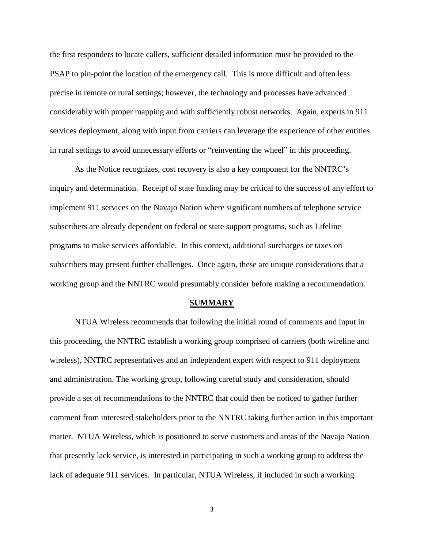the first responders to locate callers, sufficient detailed information must be provided to the PSAP to pin-point the location of the emergency call. This is more difficult and often less precise in remote or rural settings; however, the technology and processes have advanced considerably with proper mapping and with sufficiently robust networks. Again, experts in 911 services deployment, along with input from carriers can leverage the experience of other entities in rural settings to avoid unnecessary efforts or "reinventing the wheel" in this proceeding.

As the Notice recognizes, cost recovery is also a key component for the NNTRC's inquiry and determination. Receipt of state funding may be critical to the success of any effort to implement 911 services on the Navajo Nation where significant numbers of telephone service subscribers are already dependent on federal or state support programs, such as Lifeline programs to make services affordable. In this context, additional surcharges or taxes on subscribers may present further challenges. Once again, these are unique considerations that a working group and the NNTRC would presumably consider before making a recommendation.

## **SUMMARY**

NTUA Wireless recommends that following the initial round of comments and input in this proceeding, the NNTRC establish a working group comprised of carriers (both wireline and wireless), NNTRC representatives and an independent expert with respect to 911 deployment and administration. The working group, following careful study and consideration, should provide a set of recommendations to the NNTRC that could then be noticed to gather further comment from interested stakeholders prior to the NNTRC taking further action in this important matter. NTUA Wireless, which is positioned to serve customers and areas of the Navajo Nation that presently lack service, is interested in participating in such a working group to address the lack of adequate 911 services. In particular, NTUA Wireless, if included in such a working

3